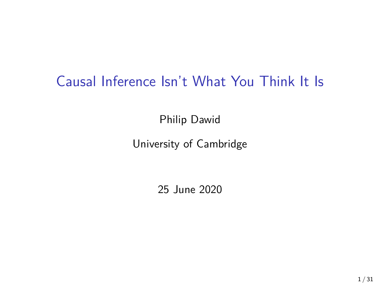# Causal Inference Isn't What You Think It Is

Philip Dawid

#### University of Cambridge

25 June 2020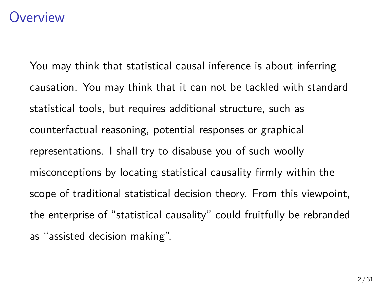#### **Overview**

You may think that statistical causal inference is about inferring causation. You may think that it can not be tackled with standard statistical tools, but requires additional structure, such as counterfactual reasoning, potential responses or graphical representations. I shall try to disabuse you of such woolly misconceptions by locating statistical causality firmly within the scope of traditional statistical decision theory. From this viewpoint, the enterprise of "statistical causality" could fruitfully be rebranded as "assisted decision making".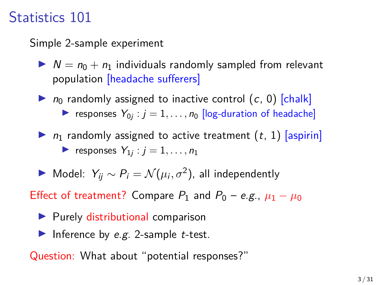# Statistics 101

Simple 2-sample experiment

 $N = n_0 + n_1$  individuals randomly sampled from relevant population [headache sufferers]

 $\triangleright$  n<sub>0</sub> randomly assigned to inactive control (c, 0) [chalk] responses  $Y_{0j}$ :  $j = 1, ..., n_0$  [log-duration of headache]

- $\triangleright$   $n_1$  randomly assigned to active treatment  $(t, 1)$  [aspirin] **P** responses  $Y_{1j}$ :  $j = 1, \ldots, n_1$
- $\triangleright$  Model:  $Y_{ij} \sim P_i = \mathcal{N}(\mu_i, \sigma^2)$ , all independently

Effect of treatment? Compare  $P_1$  and  $P_0 - e.g., \mu_1 - \mu_0$ 

- $\blacktriangleright$  Purely distributional comparison
- Inference by e.g. 2-sample t-test.

Question: What about "potential responses?"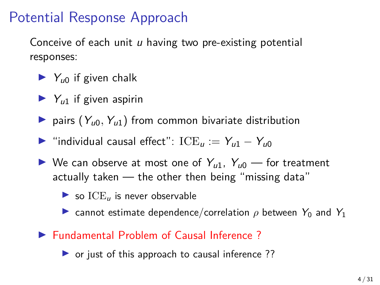# Potential Response Approach

Conceive of each unit  $u$  having two pre-existing potential responses:

- $\blacktriangleright$  Y<sub>u0</sub> if given chalk
- $Y_{u1}$  if given aspirin
- pairs  $(Y_{u0}, Y_{u1})$  from common bivariate distribution
- $\triangleright$  "individual causal effect": ICE<sub>u</sub> :=  $Y_{u1} Y_{u0}$
- $\triangleright$  We can observe at most one of  $Y_{u1}$ ,  $Y_{u0}$  for treatment actually taken — the other then being "missing data"
	- $\triangleright$  so  $ICE_u$  is never observable
	- **I** cannot estimate dependence/correlation  $\rho$  between  $Y_0$  and  $Y_1$
- ▶ Fundamental Problem of Causal Inference ?

 $\triangleright$  or just of this approach to causal inference ??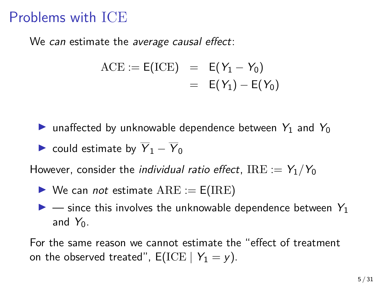### Problems with ICE

We can estimate the average causal effect:

$$
ACE := E(ICE) = E(Y_1 - Y_0)
$$
  
= E(Y\_1) - E(Y\_0)

**In** unaffected by unknowable dependence between  $Y_1$  and  $Y_0$ 

 $\triangleright$  could estimate by  $\overline{Y}_1 - \overline{Y}_0$ 

However, consider the *individual ratio effect*, IRE :=  $Y_1/Y_0$ 

- $\triangleright$  We can *not* estimate  $ARE := E(IRE)$
- $\triangleright$  since this involves the unknowable dependence between  $Y_1$ and  $Y_0$ .

For the same reason we cannot estimate the "effect of treatment on the observed treated",  $E(\text{ICE} \mid Y_1 = y)$ .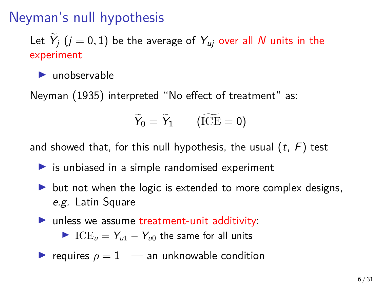# Neyman's null hypothesis

Let  $Y_j$   $(j = 0, 1)$  be the average of  $Y_{uj}$  over all  $N$  units in the experiment

 $\blacktriangleright$  unobservable

Neyman (1935) interpreted "No effect of treatment" as:

$$
\widetilde{Y}_0 = \widetilde{Y}_1 \qquad (\widetilde{\rm ICE} = 0)
$$

and showed that, for this null hypothesis, the usual  $(t, F)$  test

- $\triangleright$  is unbiased in a simple randomised experiment
- $\triangleright$  but not when the logic is extended to more complex designs, e.g. Latin Square
- $\blacktriangleright$  unless we assume treatment-unit additivity:

► ICE<sub>u</sub> =  $Y_{u1} - Y_{u0}$  the same for all units

$$
\blacktriangleright
$$
 requires  $\rho = 1$  — an unknownable condition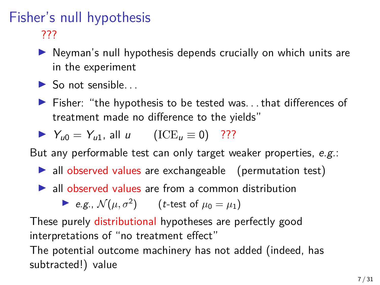### Fisher's null hypothesis ???

- $\triangleright$  Neyman's null hypothesis depends crucially on which units are in the experiment
- $\blacktriangleright$  So not sensible.
- $\blacktriangleright$  Fisher: "the hypothesis to be tested was... that differences of treatment made no difference to the yields"

$$
\blacktriangleright \ \ Y_{u0} = Y_{u1}, \text{ all } u \qquad (\text{ICE}_{u} \equiv 0) \quad \text{??}
$$

But any performable test can only target weaker properties, e.g.:

- $\blacktriangleright$  all observed values are exchangeable (permutation test)
- $\blacktriangleright$  all observed values are from a common distribution

 $\blacktriangleright$  e.g.,  $\mathcal{N}(\mu, \sigma^2)$  (*t*-test of  $\mu_0 = \mu_1$ )

These purely distributional hypotheses are perfectly good interpretations of "no treatment effect"

The potential outcome machinery has not added (indeed, has subtracted!) value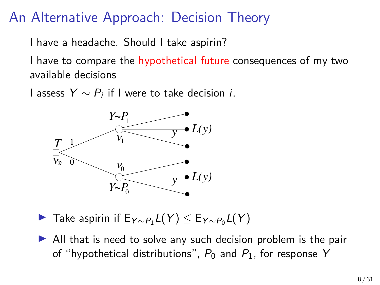# An Alternative Approach: Decision Theory

I have a headache. Should I take aspirin?

I have to compare the hypothetical future consequences of my two available decisions

I assess  $Y \sim P_i$  if I were to take decision *i*.



- ► Take aspirin if  $E_{Y \sim P_1} L(Y) \le E_{Y \sim P_0} L(Y)$
- $\triangleright$  All that is need to solve any such decision problem is the pair of "hypothetical distributions",  $P_0$  and  $P_1$ , for response Y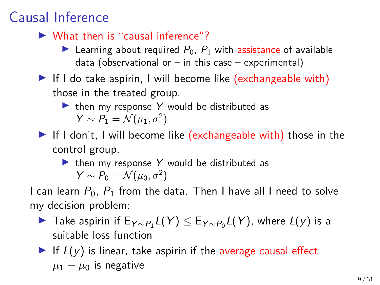# Causal Inference

- $\blacktriangleright$  What then is "causal inference"?
	- E Learning about required  $P_0$ ,  $P_1$  with assistance of available data (observational or  $-$  in this case  $-$  experimental)
- $\blacktriangleright$  If I do take aspirin, I will become like (exchangeable with) those in the treated group.
	- $\blacktriangleright$  then my response Y would be distributed as  $Y \sim P_1 = \mathcal{N}(\mu_1, \sigma^2)$
- $\blacktriangleright$  If I don't, I will become like (exchangeable with) those in the control group.

#### $\triangleright$  then my response Y would be distributed as  $Y \sim P_0 = \mathcal{N}(\mu_0, \sigma^2)$

I can learn  $P_0$ ,  $P_1$  from the data. Then I have all I need to solve my decision problem:

- ► Take aspirin if  $E_{Y \sim P_1} L(Y) \le E_{Y \sim P_0} L(Y)$ , where  $L(y)$  is a suitable loss function
- If  $L(y)$  is linear, take aspirin if the average causal effect  $\mu_1 - \mu_0$  is negative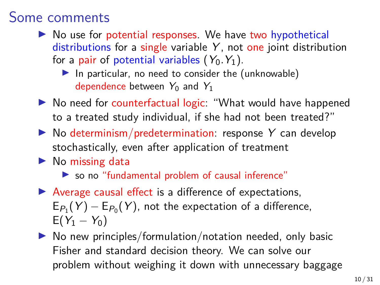#### Some comments

- $\triangleright$  No use for potential responses. We have two hypothetical distributions for a single variable  $Y$ , not one joint distribution for a pair of potential variables  $(Y_0, Y_1)$ .
	- In particular, no need to consider the (unknowable) dependence between  $Y_0$  and  $Y_1$
- ▶ No need for counterfactual logic: "What would have happened to a treated study individual, if she had not been treated?"
- $\triangleright$  No determinism/predetermination: response Y can develop stochastically, even after application of treatment
- $\blacktriangleright$  No missing data
	- $\triangleright$  so no "fundamental problem of causal inference"
- $\blacktriangleright$  Average causal effect is a difference of expectations,  $\mathsf{E}_{P_1}(Y)-\mathsf{E}_{P_0}(Y)$ , not the expectation of a difference,  $E(Y_1 - Y_0)$
- $\triangleright$  No new principles/formulation/notation needed, only basic Fisher and standard decision theory. We can solve our problem without weighing it down with unnecessary baggage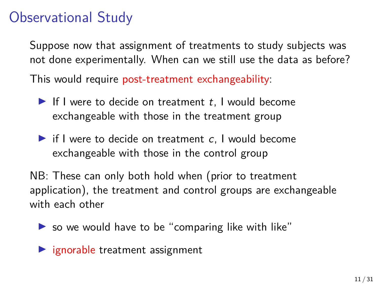# Observational Study

Suppose now that assignment of treatments to study subjects was not done experimentally. When can we still use the data as before?

This would require post-treatment exchangeability:

- If I were to decide on treatment  $t$ , I would become exchangeable with those in the treatment group
- $\blacktriangleright$  if I were to decide on treatment c, I would become exchangeable with those in the control group

NB: These can only both hold when (prior to treatment application), the treatment and control groups are exchangeable with each other

 $\triangleright$  so we would have to be "comparing like with like"

 $\blacktriangleright$  ignorable treatment assignment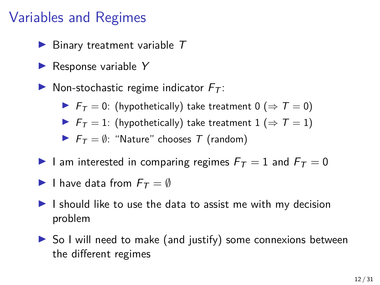# Variables and Regimes

- $\blacktriangleright$  Binary treatment variable  $T$
- $\blacktriangleright$  Response variable Y
- $\triangleright$  Non-stochastic regime indicator  $F_T$ :
	- $\blacktriangleright$   $F_T = 0$ : (hypothetically) take treatment 0 ( $\Rightarrow$   $T = 0$ )
	- $\blacktriangleright$   $F_T = 1$ : (hypothetically) take treatment 1 (⇒  $T = 1$ )
	- $\blacktriangleright$   $F_T = \emptyset$ : "Nature" chooses T (random)
- I am interested in comparing regimes  $F_T = 1$  and  $F_T = 0$
- I have data from  $F_T = \emptyset$
- $\blacktriangleright$  I should like to use the data to assist me with my decision problem
- $\triangleright$  So I will need to make (and justify) some connexions between the different regimes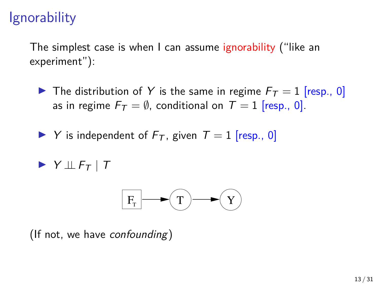# **Ignorability**

The simplest case is when I can assume ignorability ("like an experiment"):

- $\blacktriangleright$  The distribution of Y is the same in regime  $F_T = 1$  [resp., 0] as in regime  $F_T = \emptyset$ , conditional on  $T = 1$  [resp., 0].
- $\blacktriangleright$  Y is independent of  $F_T$ , given  $T = 1$  [resp., 0]

$$
\blacktriangleright \ Y \perp \!\!\! \perp F_T \mid T
$$



(If not, we have *confounding*)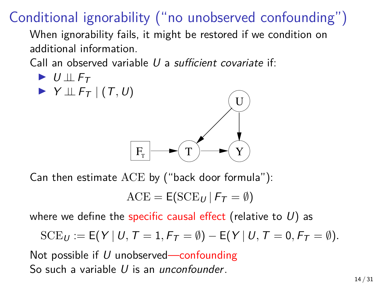Conditional ignorability ("no unobserved confounding")

When ignorability fails, it might be restored if we condition on additional information.

Call an observed variable U a sufficient covariate if:

$$
\blacktriangleright \, U \perp \!\!\! \perp F_T
$$

$$
\blacktriangleright \ Y \perp \!\!\! \perp F_T \mid (T, U)
$$



Can then estimate ACE by ("back door formula"):

$$
\mathrm{ACE} = \mathsf{E}(\mathrm{SCE}_U \,|\, \mathsf{F}_\mathcal{T} = \emptyset)
$$

where we define the specific causal effect (relative to  $U$ ) as

$$
\mathrm{SCE}_U := \mathsf{E}\big(\boldsymbol{Y} \,|\, U,\, \boldsymbol{T} = 1, \boldsymbol{F}_{\boldsymbol{T}} = \emptyset\big) - \mathsf{E}\big(\boldsymbol{Y} \,|\, U,\, \boldsymbol{T} = 0,\, \boldsymbol{F}_{\boldsymbol{T}} = \emptyset\big).
$$

Not possible if  $U$  unobserved—confounding So such a variable U is an *unconfounder*.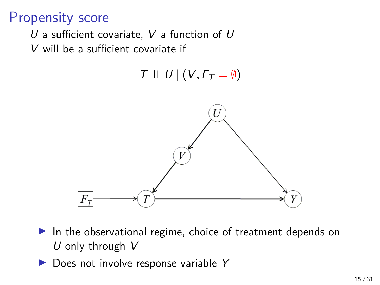### Propensity score

- U a sufficient covariate, V a function of  $U$
- V will be a sufficient covariate if

 $T \perp\!\!\!\perp U \mid (V, F_T = \emptyset)$ 



- $\blacktriangleright$  In the observational regime, choice of treatment depends on U only through  $V$
- $\triangleright$  Does not involve response variable Y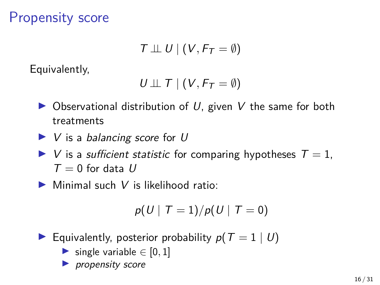# Propensity score

$$
\mathcal{T} \perp\!\!\!\perp U \mid (V, F_{\mathcal{T}} = \emptyset)
$$

Equivalently,

$$
U \perp \!\!\! \perp T \mid (V, F_T = \emptyset)
$$

- $\triangleright$  Observational distribution of U, given V the same for both treatments
- $\blacktriangleright$  V is a balancing score for U
- $\triangleright$  V is a sufficient statistic for comparing hypotheses  $T = 1$ ,  $T = 0$  for data U
- $\triangleright$  Minimal such V is likelihood ratio:

$$
p(U \mid T=1) / p(U \mid T=0)
$$

- Equivalently, posterior probability  $p(T = 1 | U)$ 
	- $\triangleright$  single variable ∈ [0, 1]
	- $\blacktriangleright$  propensity score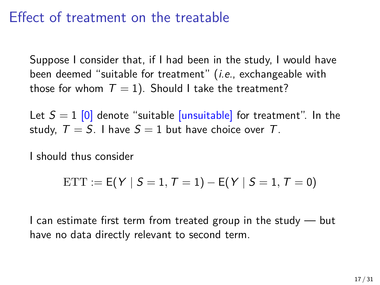### Effect of treatment on the treatable

Suppose I consider that, if I had been in the study, I would have been deemed "suitable for treatment" *(i.e.*, exchangeable with those for whom  $T = 1$ ). Should I take the treatment?

Let  $S = 1$  [0] denote "suitable [unsuitable] for treatment". In the study,  $T = S$ . I have  $S = 1$  but have choice over T.

I should thus consider

$$
\text{ETT} := \text{E}(Y \mid S = 1, T = 1) - \text{E}(Y \mid S = 1, T = 0)
$$

I can estimate first term from treated group in the study  $-$  but have no data directly relevant to second term.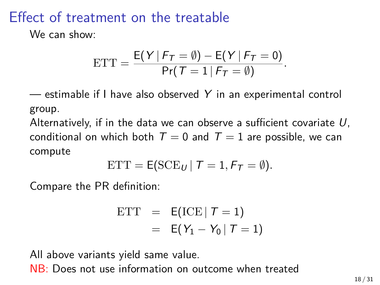# Effect of treatment on the treatable

We can show:

$$
ETT = \frac{E(Y \mid F_T = \emptyset) - E(Y \mid F_T = 0)}{Pr(T = 1 \mid F_T = \emptyset)}.
$$

 $-$  estimable if I have also observed Y in an experimental control group.

Alternatively, if in the data we can observe a sufficient covariate  $U$ , conditional on which both  $T = 0$  and  $T = 1$  are possible, we can compute

$$
ETT = E(SCE_U | T = 1, F_T = \emptyset).
$$

Compare the PR definition:

$$
\begin{array}{rcl} \text{ETT} & = & \mathsf{E}(\text{ICE} \mid \mathcal{T} = 1) \\ & = & \mathsf{E}(Y_1 - Y_0 \mid \mathcal{T} = 1) \end{array}
$$

All above variants yield same value.

NB: Does not use information on outcome when treated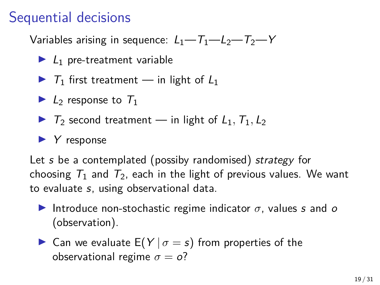# Sequential decisions

Variables arising in sequence:  $L_1 - T_1 - L_2 - T_2 - Y$ 

- $\blacktriangleright$   $L_1$  pre-treatment variable
- $\triangleright$  T<sub>1</sub> first treatment in light of  $L_1$
- $\blacktriangleright$  L<sub>2</sub> response to  $T_1$
- $\triangleright$   $T_2$  second treatment in light of  $L_1$ ,  $T_1$ ,  $L_2$

#### $\blacktriangleright$  Y response

Let s be a contemplated (possiby randomised) strategy for choosing  $T_1$  and  $T_2$ , each in the light of previous values. We want to evaluate s, using observational data.

- Introduce non-stochastic regime indicator  $\sigma$ , values s and o (observation).
- **In Can we evaluate E(Y**  $|\sigma = s$ **) from properties of the** observational regime  $\sigma = o$ ?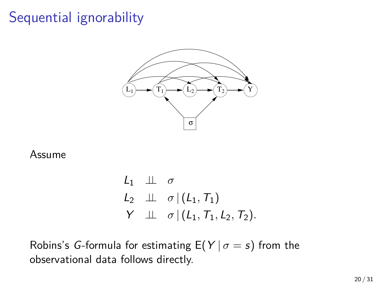# Sequential ignorability



#### Assume

$$
\begin{array}{lll}\nL_1 & \perp \perp & \sigma \\
L_2 & \perp \perp & \sigma \mid (L_1, T_1) \\
Y & \perp \perp & \sigma \mid (L_1, T_1, L_2, T_2).\n\end{array}
$$

Robins's *G*-formula for estimating  $E(Y | \sigma = s)$  from the observational data follows directly.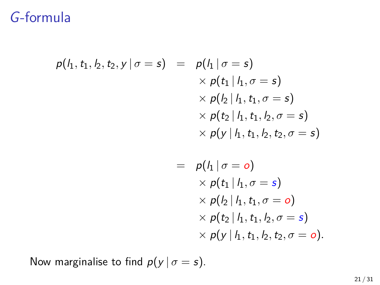### G-formula

$$
p(h, t_1, h_2, t_2, y \mid \sigma = s) = p(h_1 \mid \sigma = s) \times p(t_1 \mid h_1, \sigma = s) \times p(h_2 \mid h_1, t_1, \sigma = s) \times p(t_2 \mid h_1, t_1, h_2, \sigma = s) \times p(y \mid h_1, t_1, h_2, t_2, \sigma = s) = p(h_1 \mid \sigma = o) \times p(t_1 \mid h_1, \sigma = s) \times p(h_2 \mid h_1, t_1, \sigma = o) \times p(t_2 \mid h_1, t_1, h_2, \sigma = s) \times p(y \mid h_1, t_1, h_2, t_2, \sigma = o).
$$

Now marginalise to find  $p(y | \sigma = s)$ .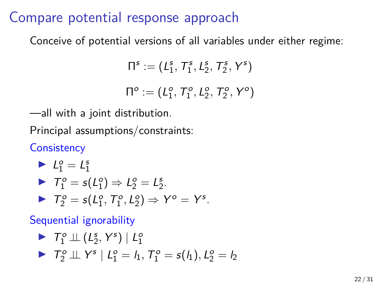#### Compare potential response approach

Conceive of potential versions of all variables under either regime:

$$
\Pi^s := (\mathit{L}^s_1, \mathcal{T}^s_1, \mathit{L}^s_2, \mathcal{T}^s_2, \mathsf{Y}^s)
$$

 $\Pi^o := (L_1^o, T_1^o, L_2^o, T_2^o, Y^o)$ 

—all with a joint distribution.

Principal assumptions/constraints:

**Consistency** 

$$
L_1^o = L_1^s
$$
  
\n
$$
\triangleright T_1^o = s(L_1^o) \Rightarrow L_2^o = L_2^s.
$$
  
\n
$$
\triangleright T_2^o = s(L_1^o, T_1^o, L_2^o) \Rightarrow Y^o = Y^s.
$$

Sequential ignorability

► 
$$
T_1^o \perp (L_2^s, Y^s) | L_1^o
$$
  
\n►  $T_2^o \perp (Y^s) | L_1^o = I_1, T_1^o = s(I_1), L_2^o = I_2$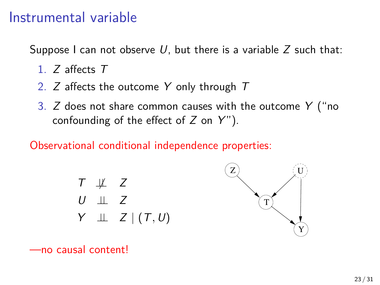#### Instrumental variable

Suppose I can not observe U, but there is a variable  $Z$  such that:

- 1. Z affects T
- 2. Z affects the outcome Y only through T
- 3.  $Z$  does not share common causes with the outcome  $Y$  ("no confounding of the effect of  $Z$  on  $Y$ ").

#### Observational conditional independence properties:





—no causal content!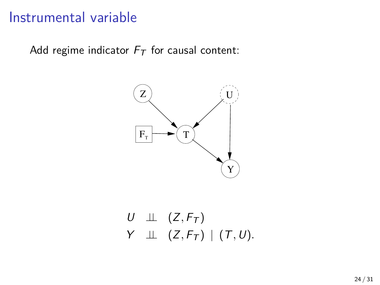#### Instrumental variable

Add regime indicator  $F_T$  for causal content:



$$
\begin{array}{lll} U & \bot \bot & (Z, F_{\mathcal{T}}) \\ Y & \bot \bot & (Z, F_{\mathcal{T}}) \bot (T, U). \end{array}
$$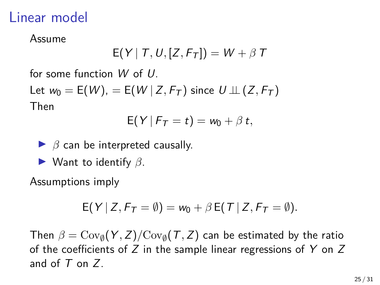#### Linear model

Assume

$$
E(Y | T, U, [Z, F_T]) = W + \beta T
$$

for some function W of U.

Let  $w_0 = E(W)$ , =  $E(W | Z, F_T)$  since  $U \perp (Z, F_T)$ Then

$$
E(Y | F_T = t) = w_0 + \beta t,
$$

$$
\triangleright
$$
  $\beta$  can be interpreted causally.

 $\blacktriangleright$  Want to identify  $\beta$ .

Assumptions imply

$$
E(Y | Z, F_T = \emptyset) = w_0 + \beta E(T | Z, F_T = \emptyset).
$$

Then  $\beta = \text{Cov}_\emptyset(Y, Z)/\text{Cov}_\emptyset(\mathcal{T}, Z)$  can be estimated by the ratio of the coefficients of  $Z$  in the sample linear regressions of  $Y$  on  $Z$ and of  $T$  on  $Z$ .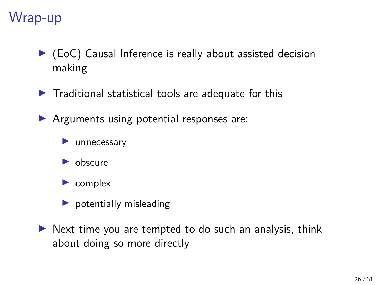# Wrap-up

- $\blacktriangleright$  (EoC) Causal Inference is really about assisted decision making
- $\blacktriangleright$  Traditional statistical tools are adequate for this
- $\blacktriangleright$  Arguments using potential responses are:
	- $\blacktriangleright$  unnecessary
	- $\blacktriangleright$  obscure
	- $\blacktriangleright$  complex
	- $\blacktriangleright$  potentially misleading
- $\triangleright$  Next time you are tempted to do such an analysis, think about doing so more directly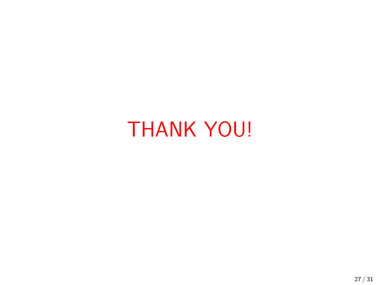# THANK YOU!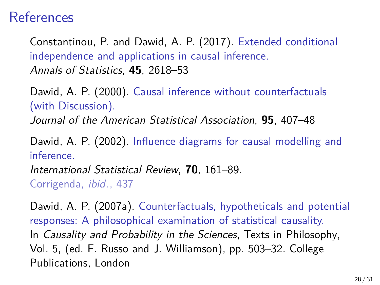#### References

Constantinou, P. and Dawid, A. P. (2017). Extended conditional independence and applications in causal inference. Annals of Statistics, **45**, 2618–53

Dawid, A. P. (2000). Causal inference without counterfactuals (with Discussion).

Journal of the American Statistical Association, **95**, 407–48

Dawid, A. P. (2002). Influence diagrams for causal modelling and inference.

International Statistical Review, **70**, 161–89.

Corrigenda, ibid., 437

Dawid, A. P. (2007a). Counterfactuals, hypotheticals and potential responses: A philosophical examination of statistical causality. In Causality and Probability in the Sciences, Texts in Philosophy, Vol. 5, (ed. F. Russo and J. Williamson), pp. 503–32. College Publications, London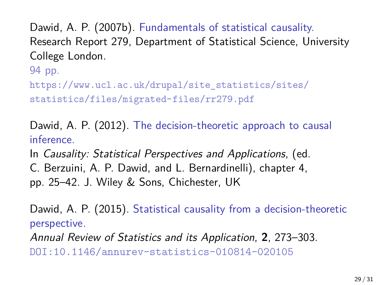Dawid, A. P. (2007b). Fundamentals of statistical causality. Research Report 279, Department of Statistical Science, University College London.

94 pp.

[https://www.ucl.ac.uk/drupal/site\\_statistics/sites/](https://www.ucl.ac.uk/drupal/site_statistics/sites/statistics/files/migrated-files/rr279.pdf) [statistics/files/migrated-files/rr279.pdf](https://www.ucl.ac.uk/drupal/site_statistics/sites/statistics/files/migrated-files/rr279.pdf)

Dawid, A. P. (2012). The decision-theoretic approach to causal inference.

In Causality: Statistical Perspectives and Applications, (ed. C. Berzuini, A. P. Dawid, and L. Bernardinelli), chapter 4, pp. 25–42. J. Wiley & Sons, Chichester, UK

Dawid, A. P. (2015). Statistical causality from a decision-theoretic perspective.

Annual Review of Statistics and its Application, **2**, 273–303. [DOI:10.1146/annurev-statistics-010814-020105](http://dx.doi.org/10.1146/annurev-statistics-010814-020105)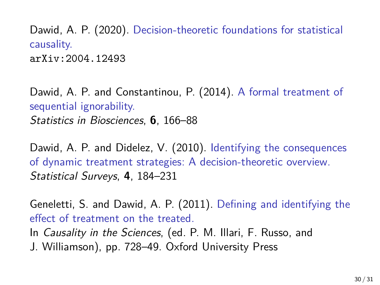Dawid, A. P. (2020). Decision-theoretic foundations for statistical causality. [arXiv:2004.12493](http://arxiv.org/abs/2004.12493)

Dawid, A. P. and Constantinou, P. (2014). A formal treatment of sequential ignorability. Statistics in Biosciences, **6**, 166–88

Dawid, A. P. and Didelez, V. (2010). Identifying the consequences of dynamic treatment strategies: A decision-theoretic overview. Statistical Surveys, **4**, 184–231

Geneletti, S. and Dawid, A. P. (2011). Defining and identifying the effect of treatment on the treated. In *Causality in the Sciences*, (ed. P. M. Illari, F. Russo, and J. Williamson), pp. 728–49. Oxford University Press